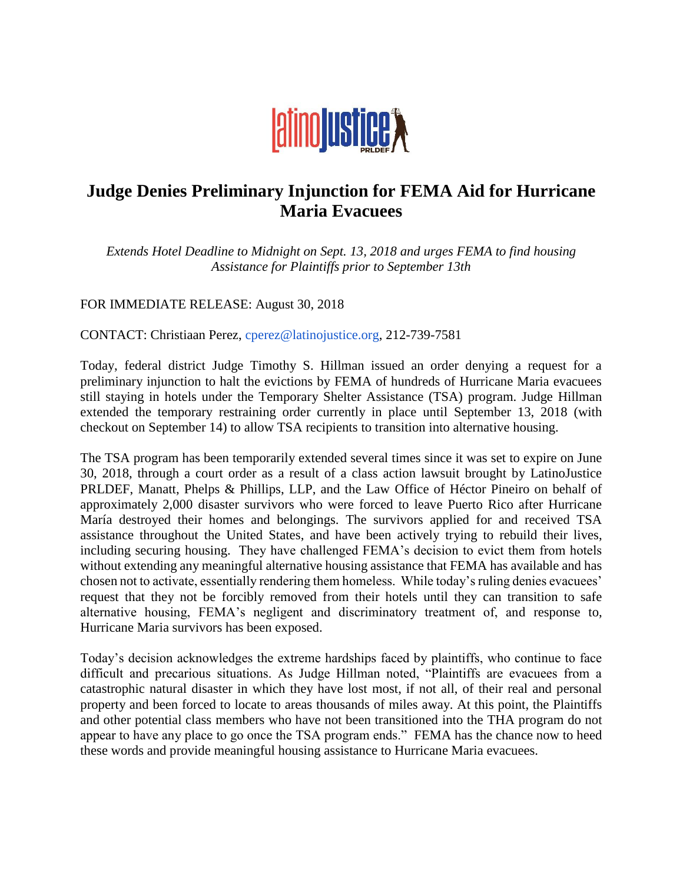

## **Judge Denies Preliminary Injunction for FEMA Aid for Hurricane Maria Evacuees**

*Extends Hotel Deadline to Midnight on Sept. 13, 2018 and urges FEMA to find housing Assistance for Plaintiffs prior to September 13th*

FOR IMMEDIATE RELEASE: August 30, 2018

CONTACT: Christiaan Perez, cperez@latinojustice.org, 212-739-7581

Today, federal district Judge Timothy S. Hillman issued an order denying a request for a preliminary injunction to halt the evictions by FEMA of hundreds of Hurricane Maria evacuees still staying in hotels under the Temporary Shelter Assistance (TSA) program. Judge Hillman extended the temporary restraining order currently in place until September 13, 2018 (with checkout on September 14) to allow TSA recipients to transition into alternative housing.

The TSA program has been temporarily extended several times since it was set to expire on June 30, 2018, through a court order as a result of a class action lawsuit brought by LatinoJustice PRLDEF, Manatt, Phelps & Phillips, LLP, and the Law Office of Héctor Pineiro on behalf of approximately 2,000 disaster survivors who were forced to leave Puerto Rico after Hurricane María destroyed their homes and belongings. The survivors applied for and received TSA assistance throughout the United States, and have been actively trying to rebuild their lives, including securing housing. They have challenged FEMA's decision to evict them from hotels without extending any meaningful alternative housing assistance that FEMA has available and has chosen not to activate, essentially rendering them homeless. While today's ruling denies evacuees' request that they not be forcibly removed from their hotels until they can transition to safe alternative housing, FEMA's negligent and discriminatory treatment of, and response to, Hurricane Maria survivors has been exposed.

Today's decision acknowledges the extreme hardships faced by plaintiffs, who continue to face difficult and precarious situations. As Judge Hillman noted, "Plaintiffs are evacuees from a catastrophic natural disaster in which they have lost most, if not all, of their real and personal property and been forced to locate to areas thousands of miles away. At this point, the Plaintiffs and other potential class members who have not been transitioned into the THA program do not appear to have any place to go once the TSA program ends." FEMA has the chance now to heed these words and provide meaningful housing assistance to Hurricane Maria evacuees.